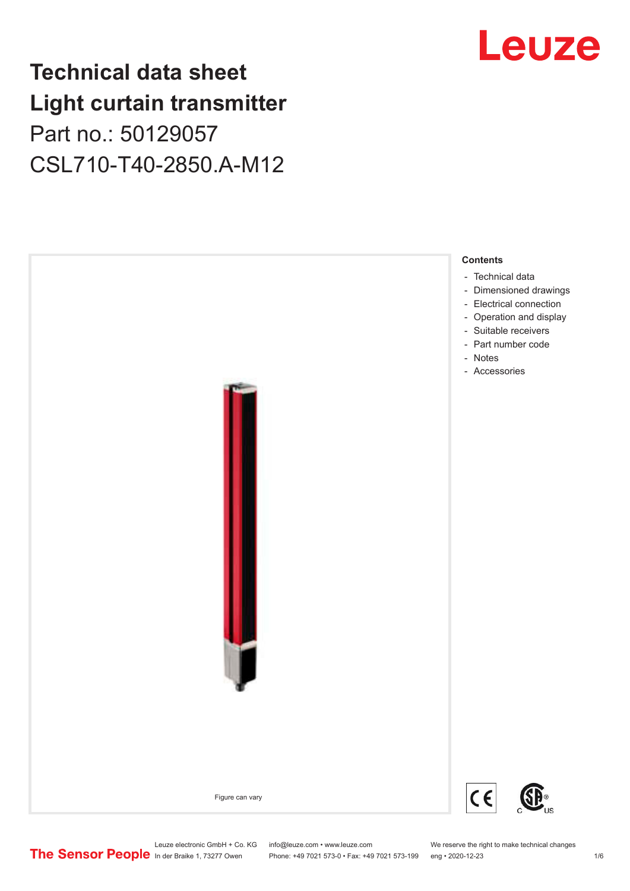## **Technical data sheet Light curtain transmitter** Part no.: 50129057 CSL710-T40-2850.A-M12





Leuze electronic GmbH + Co. KG info@leuze.com • www.leuze.com We reserve the right to make technical changes<br>
The Sensor People in der Braike 1, 73277 Owen Phone: +49 7021 573-0 • Fax: +49 7021 573-199 eng • 2020-12-23

Phone: +49 7021 573-0 • Fax: +49 7021 573-199 eng • 2020-12-23 1 76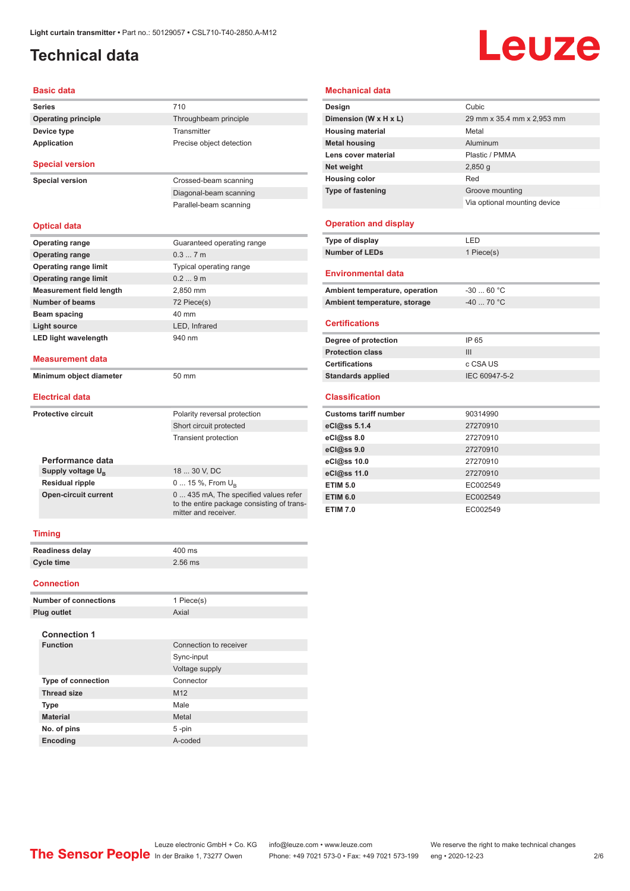## <span id="page-1-0"></span>**Technical data**

## Leuze

#### **Basic data**

|                              | Dasit uata                      |                                                                                                             |
|------------------------------|---------------------------------|-------------------------------------------------------------------------------------------------------------|
| <b>Series</b>                |                                 | 710                                                                                                         |
|                              | <b>Operating principle</b>      | Throughbeam principle                                                                                       |
|                              | Device type                     | Transmitter                                                                                                 |
|                              | Application                     | Precise object detection                                                                                    |
|                              | <b>Special version</b>          |                                                                                                             |
|                              | <b>Special version</b>          | Crossed-beam scanning                                                                                       |
|                              |                                 | Diagonal-beam scanning                                                                                      |
|                              |                                 | Parallel-beam scanning                                                                                      |
|                              |                                 |                                                                                                             |
|                              | <b>Optical data</b>             |                                                                                                             |
|                              | <b>Operating range</b>          | Guaranteed operating range                                                                                  |
|                              | <b>Operating range</b>          | 0.37m                                                                                                       |
|                              | <b>Operating range limit</b>    | Typical operating range                                                                                     |
|                              | <b>Operating range limit</b>    | 0.29m                                                                                                       |
|                              | <b>Measurement field length</b> | 2,850 mm                                                                                                    |
|                              | <b>Number of beams</b>          | 72 Piece(s)                                                                                                 |
|                              | Beam spacing                    | 40 mm                                                                                                       |
|                              | <b>Light source</b>             | LED, Infrared                                                                                               |
|                              | <b>LED light wavelength</b>     | 940 nm                                                                                                      |
|                              | <b>Measurement data</b>         |                                                                                                             |
|                              | Minimum object diameter         | 50 mm                                                                                                       |
|                              |                                 |                                                                                                             |
|                              | <b>Electrical data</b>          |                                                                                                             |
|                              | <b>Protective circuit</b>       | Polarity reversal protection                                                                                |
|                              |                                 | Short circuit protected                                                                                     |
|                              |                                 | <b>Transient protection</b>                                                                                 |
|                              |                                 |                                                                                                             |
|                              | Performance data                |                                                                                                             |
|                              | Supply voltage $U_{\rm B}$      | 18  30 V, DC                                                                                                |
|                              | <b>Residual ripple</b>          | 0  15 %, From $U_{\rm B}$                                                                                   |
|                              | <b>Open-circuit current</b>     | 0  435 mA, The specified values refer<br>to the entire package consisting of trans-<br>mitter and receiver. |
| <b>Timing</b>                |                                 |                                                                                                             |
|                              | <b>Readiness delay</b>          | 400 ms                                                                                                      |
|                              | <b>Cycle time</b>               | 2.56 ms                                                                                                     |
|                              |                                 |                                                                                                             |
|                              | <b>Connection</b>               |                                                                                                             |
| <b>Number of connections</b> |                                 | 1 Piece(s)                                                                                                  |
|                              | <b>Plug outlet</b>              | Axial                                                                                                       |
|                              |                                 |                                                                                                             |
|                              | <b>Connection 1</b>             |                                                                                                             |
|                              | <b>Function</b>                 | Connection to receiver                                                                                      |
|                              |                                 | Sync-input                                                                                                  |
|                              |                                 | Voltage supply                                                                                              |
|                              | <b>Type of connection</b>       | Connector                                                                                                   |
|                              | <b>Thread size</b>              | M12                                                                                                         |

**Type** Male **Material** Metal **No. of pins** 5 -pin **Encoding** A-coded

### **Mechanical data**

| Design                       | Cubic                        |
|------------------------------|------------------------------|
| Dimension (W x H x L)        | 29 mm x 35.4 mm x 2,953 mm   |
| <b>Housing material</b>      | Metal                        |
| <b>Metal housing</b>         | Aluminum                     |
| Lens cover material          | Plastic / PMMA               |
| Net weight                   | $2,850$ g                    |
| <b>Housing color</b>         | Red                          |
| <b>Type of fastening</b>     | Groove mounting              |
|                              | Via optional mounting device |
| <b>Operation and display</b> |                              |

| Type of display | FD         |
|-----------------|------------|
| Number of LEDs  | 1 Piece(s) |
|                 |            |

### **Environmental data**

| Ambient temperature, operation | -30  60 °C |
|--------------------------------|------------|
|                                |            |
| Ambient temperature, storage   | -40  70 °C |

### **Certifications**

| Degree of protection     | IP 65         |
|--------------------------|---------------|
| <b>Protection class</b>  | Ш             |
| <b>Certifications</b>    | c CSA US      |
| <b>Standards applied</b> | IEC 60947-5-2 |

### **Classification**

| <b>Customs tariff number</b> | 90314990 |
|------------------------------|----------|
| eCl@ss 5.1.4                 | 27270910 |
| eCl@ss 8.0                   | 27270910 |
| eCl@ss 9.0                   | 27270910 |
| eCl@ss 10.0                  | 27270910 |
| eCl@ss 11.0                  | 27270910 |
| <b>ETIM 5.0</b>              | EC002549 |
| <b>ETIM 6.0</b>              | EC002549 |
| <b>ETIM 7.0</b>              | EC002549 |

### Leuze electronic GmbH + Co. KG info@leuze.com • www.leuze.com We reserve the right to make technical changes In der Braike 1, 73277 Owen Phone: +49 7021 573-0 • Fax: +49 7021 573-199 eng • 2020-12-23 2 /6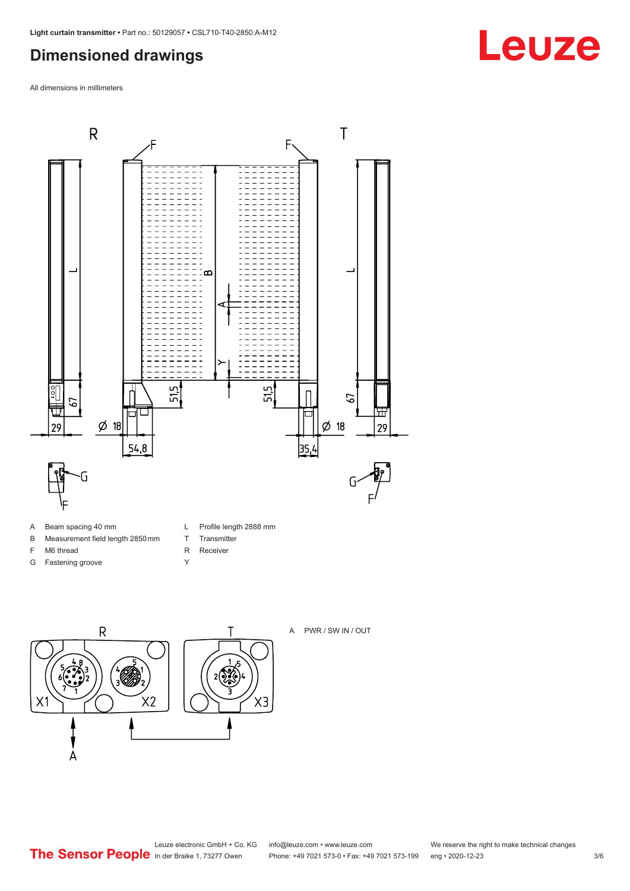## <span id="page-2-0"></span>**Dimensioned drawings**

All dimensions in millimeters



- A Beam spacing 40 mm
- B Measurement field length 2850 mm
- F M6 thread
- G Fastening groove
- L Profile length 2888 mm
- T Transmitter
- R Receiver
- Y



A PWR / SW IN / OUT



 $X3$ 

**Leuze**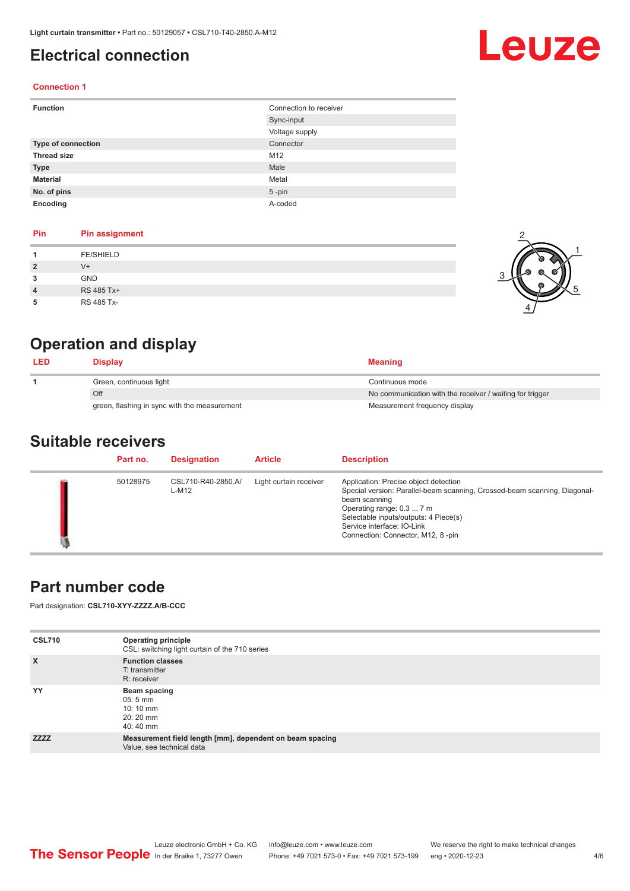## <span id="page-3-0"></span>**Electrical connection**

# Leuze

1

5

### **Connection 1**

| <b>Function</b>           | Connection to receiver |
|---------------------------|------------------------|
|                           | Sync-input             |
|                           | Voltage supply         |
| <b>Type of connection</b> | Connector              |
| <b>Thread size</b>        | M12                    |
| <b>Type</b>               | Male                   |
| <b>Material</b>           | Metal                  |
| No. of pins               | $5$ -pin               |
| Encoding                  | A-coded                |

### **Pin Pin assignment**

| Pin            | <b>Pin assignment</b> |  |
|----------------|-----------------------|--|
|                | <b>FE/SHIELD</b>      |  |
| $\overline{2}$ | $V^+$                 |  |
| 3              | <b>GND</b>            |  |
| $\overline{4}$ | RS 485 Tx+            |  |
| 5              | RS 485 Tx-            |  |

## **Operation and display**

| <b>LED</b> | <b>Display</b>                               | <b>Meaning</b>                                           |
|------------|----------------------------------------------|----------------------------------------------------------|
|            | Green, continuous light                      | Continuous mode                                          |
|            | Off                                          | No communication with the receiver / waiting for trigger |
|            | green, flashing in sync with the measurement | Measurement frequency display                            |

### **Suitable receivers**

| Part no. | <b>Designation</b>          | <b>Article</b>         | <b>Description</b>                                                                                                                                                                                                                                                           |
|----------|-----------------------------|------------------------|------------------------------------------------------------------------------------------------------------------------------------------------------------------------------------------------------------------------------------------------------------------------------|
| 50128975 | CSL710-R40-2850.A/<br>L-M12 | Light curtain receiver | Application: Precise object detection<br>Special version: Parallel-beam scanning, Crossed-beam scanning, Diagonal-<br>beam scanning<br>Operating range: 0.3  7 m<br>Selectable inputs/outputs: 4 Piece(s)<br>Service interface: IO-Link<br>Connection: Connector, M12, 8-pin |

## **Part number code**

Part designation: **CSL710-XYY-ZZZZ.A/B-CCC**

| <b>CSL710</b> | <b>Operating principle</b><br>CSL: switching light curtain of the 710 series          |
|---------------|---------------------------------------------------------------------------------------|
| $\mathsf{x}$  | <b>Function classes</b><br>T: transmitter<br>R: receiver                              |
| YY            | Beam spacing<br>$05:5 \, \text{mm}$<br>$10:10 \, \text{mm}$<br>$20:20$ mm<br>40:40 mm |
| <b>ZZZZ</b>   | Measurement field length [mm], dependent on beam spacing<br>Value, see technical data |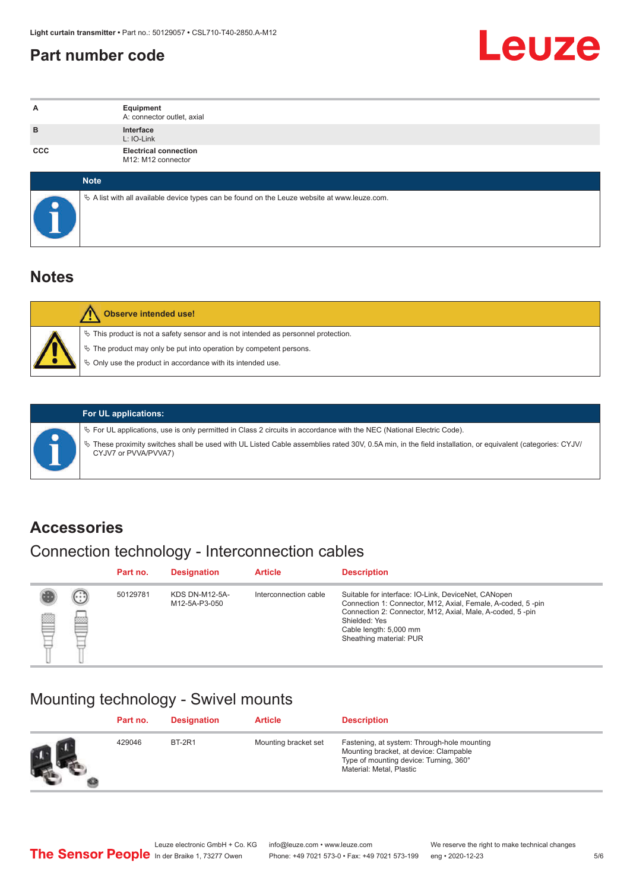## <span id="page-4-0"></span>**Part number code**



| A          | Equipment<br>A: connector outlet, axial                                                           |
|------------|---------------------------------------------------------------------------------------------------|
| B          | Interface<br>L: IO-Link                                                                           |
| <b>CCC</b> | <b>Electrical connection</b><br>M12: M12 connector                                                |
|            | <b>Note</b>                                                                                       |
|            | Vector A list with all available device types can be found on the Leuze website at www.leuze.com. |

## **Notes**

| <b>Observe intended use!</b>                                                                                                                                                                                                     |
|----------------------------------------------------------------------------------------------------------------------------------------------------------------------------------------------------------------------------------|
| $\%$ This product is not a safety sensor and is not intended as personnel protection.<br>$\&$ The product may only be put into operation by competent persons.<br>$\%$ Only use the product in accordance with its intended use. |

ª These proximity switches shall be used with UL Listed Cable assemblies rated 30V, 0.5A min, in the field installation, or equivalent (categories: CYJV/

ª For UL applications, use is only permitted in Class 2 circuits in accordance with the NEC (National Electric Code).

**For UL applications:**

CYJV7 or PVVA/PVVA7)

**Accessories**

## Connection technology - Interconnection cables

|   |   | Part no. | <b>Designation</b>                     | <b>Article</b>        | <b>Description</b>                                                                                                                                                                                                                                    |
|---|---|----------|----------------------------------------|-----------------------|-------------------------------------------------------------------------------------------------------------------------------------------------------------------------------------------------------------------------------------------------------|
| ▩ | 國 | 50129781 | <b>KDS DN-M12-5A-</b><br>M12-5A-P3-050 | Interconnection cable | Suitable for interface: IO-Link, DeviceNet, CANopen<br>Connection 1: Connector, M12, Axial, Female, A-coded, 5-pin<br>Connection 2: Connector, M12, Axial, Male, A-coded, 5-pin<br>Shielded: Yes<br>Cable length: 5,000 mm<br>Sheathing material: PUR |

## Mounting technology - Swivel mounts

|    | Part no. | <b>Designation</b> | <b>Article</b>       | <b>Description</b>                                                                                                                                          |
|----|----------|--------------------|----------------------|-------------------------------------------------------------------------------------------------------------------------------------------------------------|
| Ø. | 429046   | <b>BT-2R1</b>      | Mounting bracket set | Fastening, at system: Through-hole mounting<br>Mounting bracket, at device: Clampable<br>Type of mounting device: Turning, 360°<br>Material: Metal, Plastic |